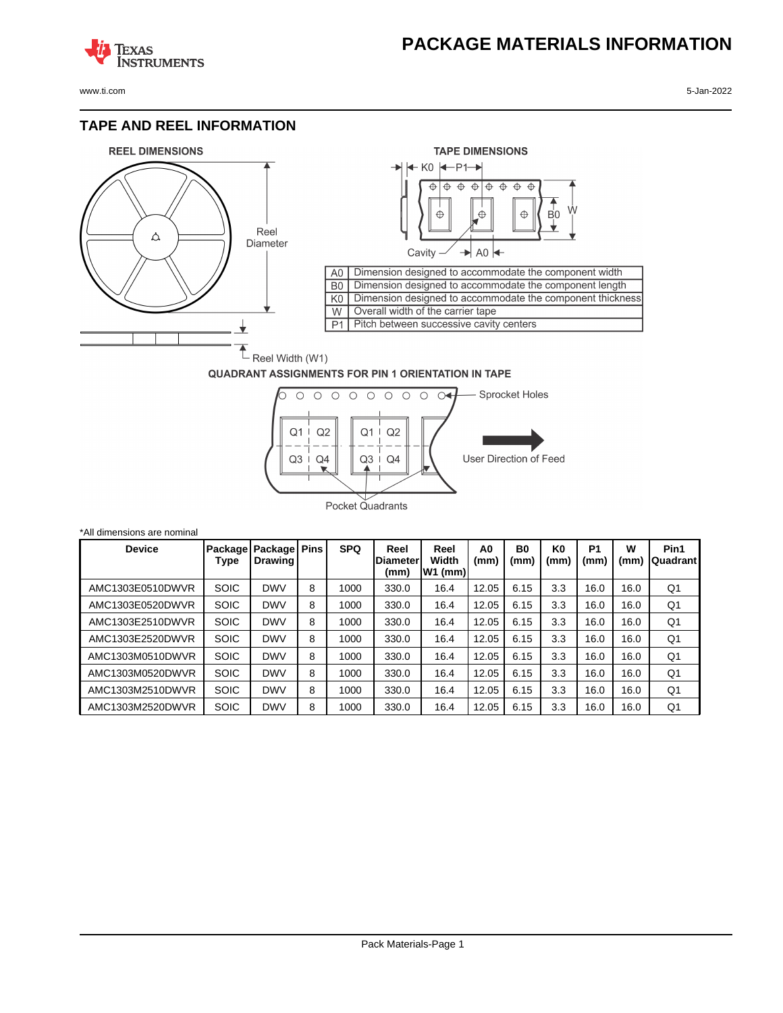## **PACKAGE MATERIALS INFORMATION**

**TEXAS NSTRUMENTS** 

www.ti.com 5-Jan-2022

### **TAPE AND REEL INFORMATION**





#### **QUADRANT ASSIGNMENTS FOR PIN 1 ORIENTATION IN TAPE**



| *All dimensions are nominal |                 |                                |   |            |                                 |                            |                        |            |                        |                        |           |                  |
|-----------------------------|-----------------|--------------------------------|---|------------|---------------------------------|----------------------------|------------------------|------------|------------------------|------------------------|-----------|------------------|
| <b>Device</b>               | Package<br>Type | Package Pins<br><b>Drawing</b> |   | <b>SPQ</b> | Reel<br><b>Diameter</b><br>(mm) | Reel<br>Width<br>$W1$ (mm) | A <sub>0</sub><br>(mm) | B0<br>(mm) | K <sub>0</sub><br>(mm) | P <sub>1</sub><br>(mm) | W<br>(mm) | Pin1<br>Quadrant |
| AMC1303E0510DWVR            | <b>SOIC</b>     | <b>DWV</b>                     | 8 | 1000       | 330.0                           | 16.4                       | 12.05                  | 6.15       | 3.3                    | 16.0                   | 16.0      | Q1               |
| AMC1303E0520DWVR            | <b>SOIC</b>     | <b>DWV</b>                     | 8 | 1000       | 330.0                           | 16.4                       | 12.05                  | 6.15       | 3.3                    | 16.0                   | 16.0      | Q1               |
| AMC1303E2510DWVR            | <b>SOIC</b>     | <b>DWV</b>                     | 8 | 1000       | 330.0                           | 16.4                       | 12.05                  | 6.15       | 3.3                    | 16.0                   | 16.0      | Q1               |
| AMC1303E2520DWVR            | <b>SOIC</b>     | <b>DWV</b>                     | 8 | 1000       | 330.0                           | 16.4                       | 12.05                  | 6.15       | 3.3                    | 16.0                   | 16.0      | Q1               |
| AMC1303M0510DWVR            | <b>SOIC</b>     | <b>DWV</b>                     | 8 | 1000       | 330.0                           | 16.4                       | 12.05                  | 6.15       | 3.3                    | 16.0                   | 16.0      | Q1               |
| AMC1303M0520DWVR            | <b>SOIC</b>     | <b>DWV</b>                     | 8 | 1000       | 330.0                           | 16.4                       | 12.05                  | 6.15       | 3.3                    | 16.0                   | 16.0      | Q1               |
| AMC1303M2510DWVR            | <b>SOIC</b>     | <b>DWV</b>                     | 8 | 1000       | 330.0                           | 16.4                       | 12.05                  | 6.15       | 3.3                    | 16.0                   | 16.0      | Q1               |
| AMC1303M2520DWVR            | <b>SOIC</b>     | <b>DWV</b>                     | 8 | 1000       | 330.0                           | 16.4                       | 12.05                  | 6.15       | 3.3                    | 16.0                   | 16.0      | Q1               |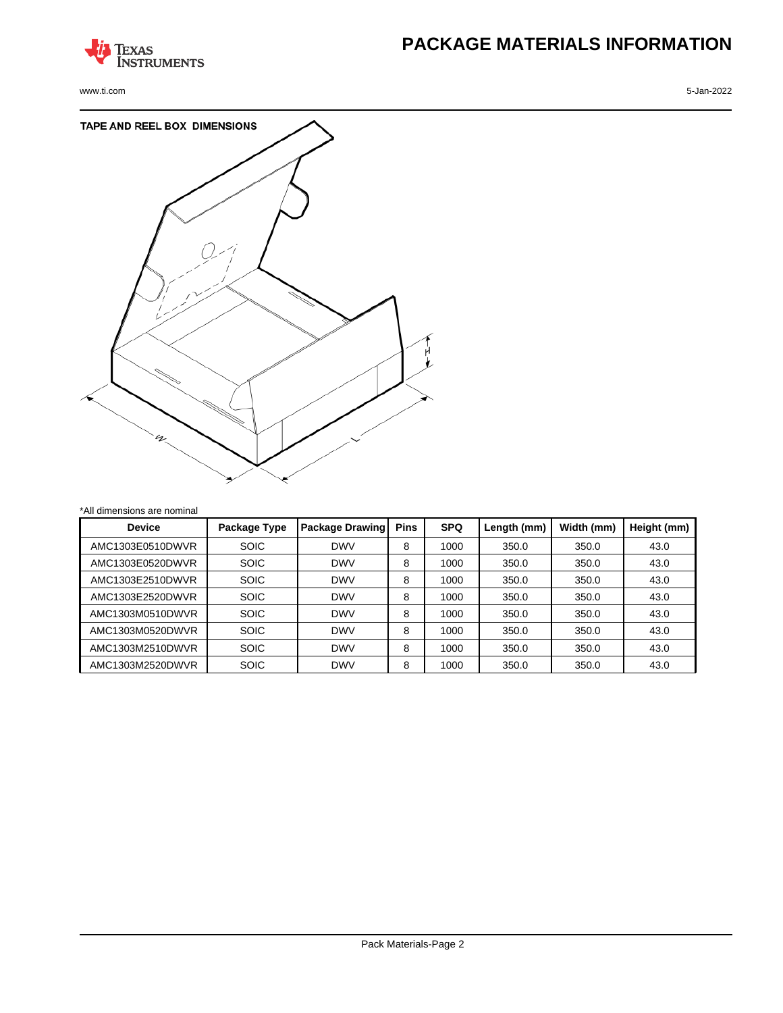

www.ti.com 5-Jan-2022

# **PACKAGE MATERIALS INFORMATION**



| *All dimensions are nominal |              |                 |             |            |             |            |             |
|-----------------------------|--------------|-----------------|-------------|------------|-------------|------------|-------------|
| <b>Device</b>               | Package Type | Package Drawing | <b>Pins</b> | <b>SPQ</b> | Length (mm) | Width (mm) | Height (mm) |
| AMC1303E0510DWVR            | <b>SOIC</b>  | <b>DWV</b>      | 8           | 1000       | 350.0       | 350.0      | 43.0        |
| AMC1303E0520DWVR            | <b>SOIC</b>  | <b>DWV</b>      | 8           | 1000       | 350.0       | 350.0      | 43.0        |
| AMC1303E2510DWVR            | <b>SOIC</b>  | <b>DWV</b>      | 8           | 1000       | 350.0       | 350.0      | 43.0        |
| AMC1303E2520DWVR            | <b>SOIC</b>  | <b>DWV</b>      | 8           | 1000       | 350.0       | 350.0      | 43.0        |
| AMC1303M0510DWVR            | <b>SOIC</b>  | <b>DWV</b>      | 8           | 1000       | 350.0       | 350.0      | 43.0        |
| AMC1303M0520DWVR            | <b>SOIC</b>  | <b>DWV</b>      | 8           | 1000       | 350.0       | 350.0      | 43.0        |
| AMC1303M2510DWVR            | <b>SOIC</b>  | <b>DWV</b>      | 8           | 1000       | 350.0       | 350.0      | 43.0        |
| AMC1303M2520DWVR            | <b>SOIC</b>  | <b>DWV</b>      | 8           | 1000       | 350.0       | 350.0      | 43.0        |